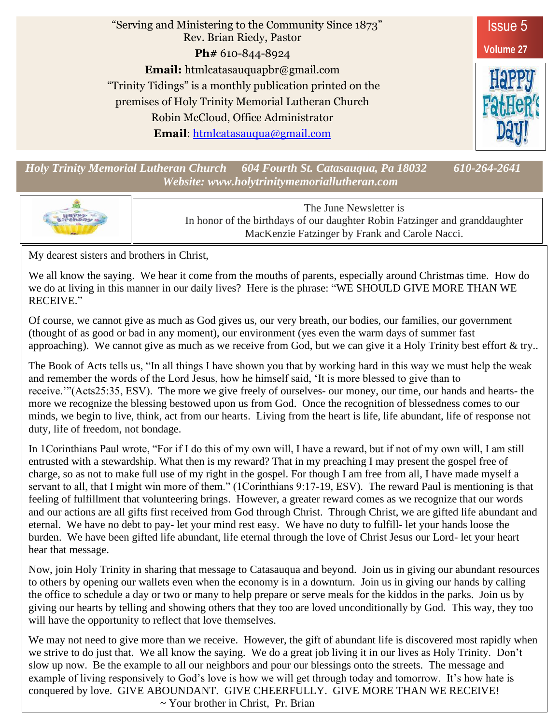

*Holy Trinity Memorial Lutheran Church 604 Fourth St. Catasauqua, Pa 18032 610-264-2641 Website: www.holytrinitymemoriallutheran.com*



The June Newsletter is In honor of the birthdays of our daughter Robin Fatzinger and granddaughter MacKenzie Fatzinger by Frank and Carole Nacci.

My dearest sisters and brothers in Christ,

We all know the saying. We hear it come from the mouths of parents, especially around Christmas time. How do we do at living in this manner in our daily lives? Here is the phrase: "WE SHOULD GIVE MORE THAN WE RECEIVE."

Of course, we cannot give as much as God gives us, our very breath, our bodies, our families, our government (thought of as good or bad in any moment), our environment (yes even the warm days of summer fast approaching). We cannot give as much as we receive from God, but we can give it a Holy Trinity best effort & try..

The Book of Acts tells us, "In all things I have shown you that by working hard in this way we must help the weak and remember the words of the Lord Jesus, how he himself said, 'It is more blessed to give than to receive.'"(Acts25:35, ESV). The more we give freely of ourselves- our money, our time, our hands and hearts- the more we recognize the blessing bestowed upon us from God. Once the recognition of blessedness comes to our minds, we begin to live, think, act from our hearts. Living from the heart is life, life abundant, life of response not duty, life of freedom, not bondage.

In 1Corinthians Paul wrote, "For if I do this of my own will, I have a reward, but if not of my own will, I am still entrusted with a stewardship. What then is my reward? That in my preaching I may present the gospel free of charge, so as not to make full use of my right in the gospel. For though I am free from all, I have made myself a servant to all, that I might win more of them." (1Corinthians 9:17-19, ESV). The reward Paul is mentioning is that feeling of fulfillment that volunteering brings. However, a greater reward comes as we recognize that our words and our actions are all gifts first received from God through Christ. Through Christ, we are gifted life abundant and eternal. We have no debt to pay- let your mind rest easy. We have no duty to fulfill- let your hands loose the burden. We have been gifted life abundant, life eternal through the love of Christ Jesus our Lord- let your heart hear that message.

Now, join Holy Trinity in sharing that message to Catasauqua and beyond. Join us in giving our abundant resources to others by opening our wallets even when the economy is in a downturn. Join us in giving our hands by calling the office to schedule a day or two or many to help prepare or serve meals for the kiddos in the parks. Join us by giving our hearts by telling and showing others that they too are loved unconditionally by God. This way, they too will have the opportunity to reflect that love themselves.

We may not need to give more than we receive. However, the gift of abundant life is discovered most rapidly when we strive to do just that. We all know the saying. We do a great job living it in our lives as Holy Trinity. Don't slow up now. Be the example to all our neighbors and pour our blessings onto the streets. The message and example of living responsively to God's love is how we will get through today and tomorrow. It's how hate is conquered by love. GIVE ABOUNDANT. GIVE CHEERFULLY. GIVE MORE THAN WE RECEIVE!  $\sim$  Your brother in Christ. Pr. Brian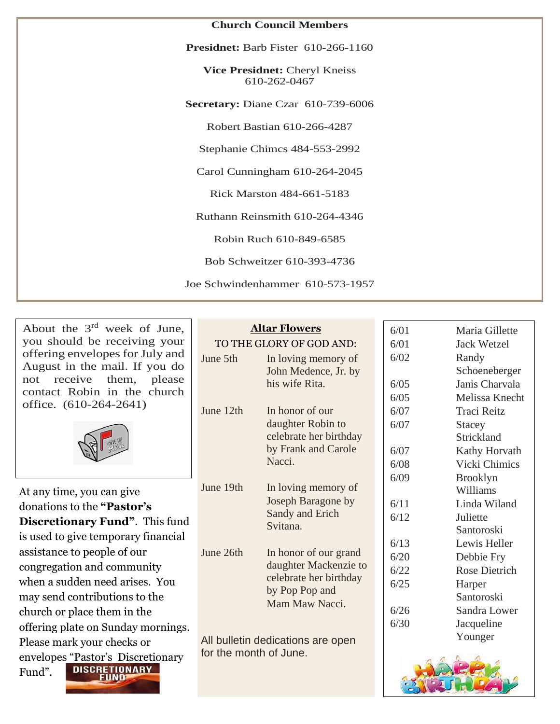| <b>Church Council Members</b>                        |  |
|------------------------------------------------------|--|
| <b>Presidnet:</b> Barb Fister 610-266-1160           |  |
| <b>Vice Presidnet: Cheryl Kneiss</b><br>610-262-0467 |  |
| Secretary: Diane Czar 610-739-6006                   |  |
| Robert Bastian 610-266-4287                          |  |
| Stephanie Chimcs 484-553-2992                        |  |
| Carol Cunningham 610-264-2045                        |  |
| Rick Marston 484-661-5183                            |  |
| Ruthann Reinsmith 610-264-4346                       |  |
| Robin Ruch 610-849-6585                              |  |
| Bob Schweitzer 610-393-4736                          |  |
| Joe Schwindenhammer 610-573-1957                     |  |

About the 3rd week of June, you should be receiving your offering envelopes for July and August in the mail. If you do not receive them, please contact Robin in the church office. (610-264-2641)



At any time, you can give donations to the **"Pastor's Discretionary Fund"**. This fund is used to give temporary financial assistance to people of our congregation and community when a sudden need arises. You may send contributions to the church or place them in the offering plate on Sunday mornings. Please mark your checks or envelope[s "Pastor's Discretio](http://www.bing.com/images/search?q=pastor%27s+discretionary+fund&view=detailv2&&id=46267F8EA9A4239A6C8E05333DCFB1C3D16522ED&selectedIndex=0&ccid=Yv06kaWh&simid=608029471452105722&thid=OIP.M62fd3a91a5a1d9cb67c16d24076a2e0eo0)nary **DISCRETIONARY** Fund". **FUND** 

### **Altar Flowers**

|           | TO THE GLORY OF GOD AND:                                                                                     |
|-----------|--------------------------------------------------------------------------------------------------------------|
| June 5th  | In loving memory of<br>John Medence, Jr. by<br>his wife Rita.                                                |
| June 12th | In honor of our<br>daughter Robin to<br>celebrate her birthday<br>by Frank and Carole<br>Nacci.              |
| June 19th | In loving memory of<br>Joseph Baragone by<br>Sandy and Erich<br>Svitana.                                     |
| June 26th | In honor of our grand<br>daughter Mackenzie to<br>celebrate her birthday<br>by Pop Pop and<br>Mam Maw Nacci. |

All bulletin dedications are open for the month of June.

| 6/01 | Maria Gillette     |
|------|--------------------|
| 6/01 | <b>Jack Wetzel</b> |
| 6/02 | Randy              |
|      | Schoeneberger      |
| 6/05 | Janis Charvala     |
| 6/05 | Melissa Knecht     |
| 6/07 | <b>Traci Reitz</b> |
| 6/07 | Stacey             |
|      | Strickland         |
| 6/07 | Kathy Horvath      |
| 6/08 | Vicki Chimics      |
| 6/09 | <b>Brooklyn</b>    |
|      | Williams           |
| 6/11 | Linda Wiland       |
| 6/12 | Juliette           |
|      | Santoroski         |
| 6/13 | Lewis Heller       |
| 6/20 | Debbie Fry         |
| 6/22 | Rose Dietrich      |
| 6/25 | Harper             |
|      | Santoroski         |
| 6/26 | Sandra Lower       |
| 6/30 | Jacqueline         |
|      | Younger            |

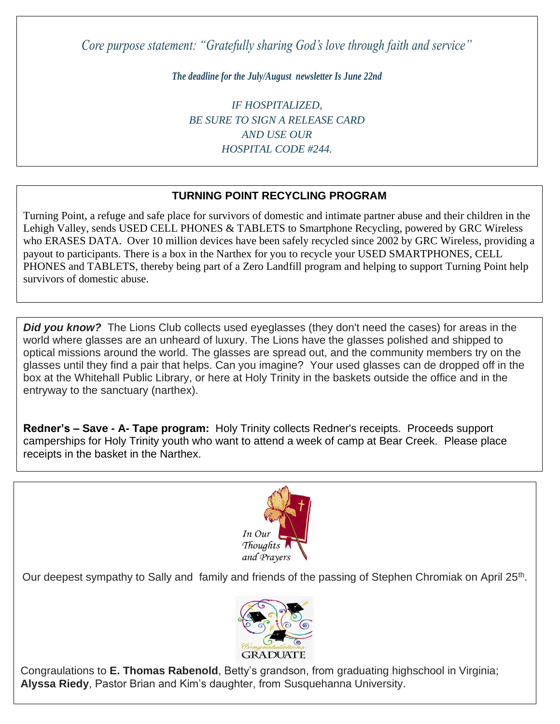*Core purpose statement: "Gratefully sharing God's love through faith and service"*

*The deadline for the July/August newsletter Is June 22nd*

*IF HOSPITALIZED, BE SURE TO SIGN A RELEASE CARD AND USE OUR HOSPITAL CODE #244.*

### **TURNING POINT RECYCLING PROGRAM**

who ERASES DATA. Over 10 million devices have been safely recycled since 2002 by GRC Wireless, providing a *id quod mazim placerat facer minim*  payout to participants. There is a box in the Narthex for you to recycle your USED SMARTPHONES, CELL PHONES and TABLETS, thereby being part of a Zero Landfill program and helping to support Turning Point help Turning Point, a refuge and safe place for survivors of domestic and intimate partner abuse and their children in the Lehigh Valley, sends USED CELL PHONES & TABLETS to Smartphone Recycling, powered by GRC Wireless survivors of domestic abuse.

**Did you know?** The Lions Club collects used eyeglasses (they don't need the cases) for areas in the world where glasses are an unheard of luxury. The Lions have the glasses polished and shipped to optical missions around the world. The glasses are spread out, and the community members try on the glasses until they find a pair that helps. Can you imagine? Your used glasses can de dropped off in the box at the Whitehall Public Library, or here at Holy Trinity in the baskets outside the office and in the entryway to the sanctuary (narthex).

**Redner's – Save - A- Tape program:** Holy Trinity collects Redner's receipts. Proceeds support camperships for Holy Trinity youth who want to attend a week of camp at Bear Creek. Please place receipts in the basket in the Narthex.



Our deepest sympathy to Sally and family and friends of the passing of Stephen Chromiak on April 25<sup>th</sup>.



Congraulations to **E. Thomas Rabenold**, Betty's grandson, from graduating highschool in Virginia; **Alyssa Riedy**, Pastor Brian and Kim's daughter, from Susquehanna University.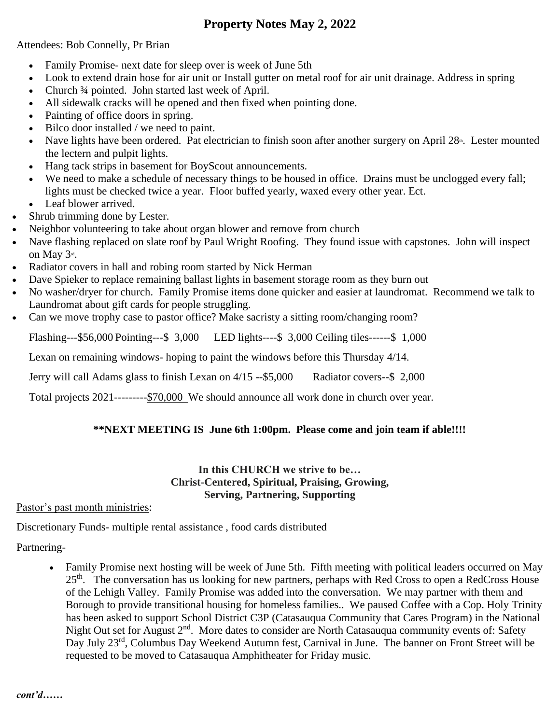### **Property Notes May 2, 2022**

Attendees: Bob Connelly, Pr Brian

- Family Promise- next date for sleep over is week of June 5th
- Look to extend drain hose for air unit or Install gutter on metal roof for air unit drainage. Address in spring
- Church 3/4 pointed. John started last week of April.
- All sidewalk cracks will be opened and then fixed when pointing done.
- Painting of office doors in spring.
- Bilco door installed / we need to paint.
- Nave lights have been ordered. Pat electrician to finish soon after another surgery on April 28<sup>th</sup>. Lester mounted the lectern and pulpit lights.
- Hang tack strips in basement for BoyScout announcements.
- We need to make a schedule of necessary things to be housed in office. Drains must be unclogged every fall; lights must be checked twice a year. Floor buffed yearly, waxed every other year. Ect.
- Leaf blower arrived.
- Shrub trimming done by Lester.
- Neighbor volunteering to take about organ blower and remove from church
- Nave flashing replaced on slate roof by Paul Wright Roofing. They found issue with capstones. John will inspect on May 3<sup>rd</sup>.
- Radiator covers in hall and robing room started by Nick Herman
- Dave Spieker to replace remaining ballast lights in basement storage room as they burn out
- No washer/dryer for church. Family Promise items done quicker and easier at laundromat. Recommend we talk to Laundromat about gift cards for people struggling.
- Can we move trophy case to pastor office? Make sacristy a sitting room/changing room?

Flashing---\$56,000 Pointing---\$ 3,000 LED lights----\$ 3,000 Ceiling tiles------\$ 1,000

Lexan on remaining windows- hoping to paint the windows before this Thursday 4/14.

Jerry will call Adams glass to finish Lexan on 4/15 --\$5,000 Radiator covers--\$ 2,000

Total projects 2021---------\$70,000 We should announce all work done in church over year.

### **\*\*NEXT MEETING IS June 6th 1:00pm. Please come and join team if able!!!!**

### **In this CHURCH we strive to be… Christ-Centered, Spiritual, Praising, Growing, Serving, Partnering, Supporting**

Pastor's past month ministries:

Discretionary Funds- multiple rental assistance , food cards distributed

Partnering-

• Family Promise next hosting will be week of June 5th. Fifth meeting with political leaders occurred on May 25<sup>th</sup>. The conversation has us looking for new partners, perhaps with Red Cross to open a RedCross House of the Lehigh Valley. Family Promise was added into the conversation. We may partner with them and Borough to provide transitional housing for homeless families.. We paused Coffee with a Cop. Holy Trinity has been asked to support School District C3P (Catasauqua Community that Cares Program) in the National Night Out set for August 2<sup>nd</sup>. More dates to consider are North Catasauqua community events of: Safety Day July 23<sup>rd</sup>, Columbus Day Weekend Autumn fest, Carnival in June. The banner on Front Street will be requested to be moved to Catasauqua Amphitheater for Friday music.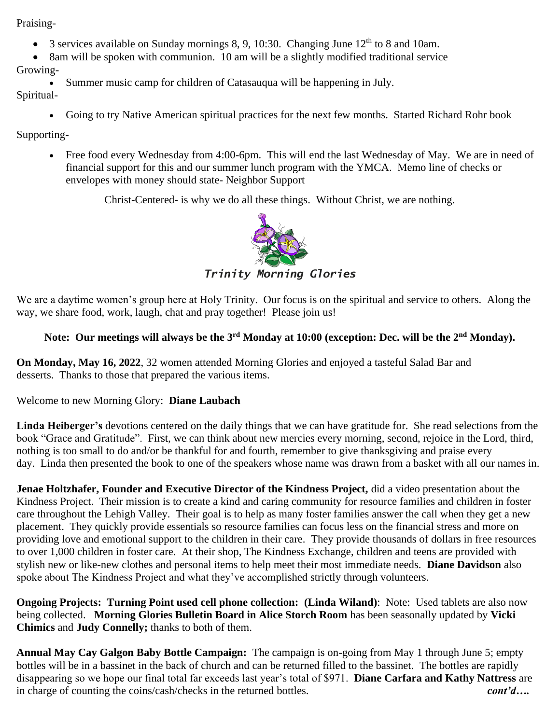Praising-

- 3 services available on Sunday mornings 8, 9, 10:30. Changing June  $12<sup>th</sup>$  to 8 and 10am.
- 8am will be spoken with communion. 10 am will be a slightly modified traditional service

Growing-

Summer music camp for children of Catasauqua will be happening in July.

Spiritual-

• Going to try Native American spiritual practices for the next few months. Started Richard Rohr book

Supporting-

• Free food every Wednesday from 4:00-6pm. This will end the last Wednesday of May. We are in need of financial support for this and our summer lunch program with the YMCA. Memo line of checks or envelopes with money should state- Neighbor Support

Christ-Centered- is why we do all these things. Without Christ, we are nothing.



*Trinity Morning Glories*

We are a daytime women's group here at Holy Trinity. Our focus is on the spiritual and service to others. Along the way, we share food, work, laugh, chat and pray together! Please join us!

### **Note: Our meetings will always be the 3rd Monday at 10:00 (exception: Dec. will be the 2nd Monday).**

**On Monday, May 16, 2022**, 32 women attended Morning Glories and enjoyed a tasteful Salad Bar and desserts. Thanks to those that prepared the various items.

Welcome to new Morning Glory: **Diane Laubach**

**Linda Heiberger's** devotions centered on the daily things that we can have gratitude for. She read selections from the book "Grace and Gratitude". First, we can think about new mercies every morning, second, rejoice in the Lord, third, nothing is too small to do and/or be thankful for and fourth, remember to give thanksgiving and praise every day. Linda then presented the book to one of the speakers whose name was drawn from a basket with all our names in.

**Jenae Holtzhafer, Founder and Executive Director of the Kindness Project, did a video presentation about the** Kindness Project. Their mission is to create a kind and caring community for resource families and children in foster care throughout the Lehigh Valley. Their goal is to help as many foster families answer the call when they get a new placement. They quickly provide essentials so resource families can focus less on the financial stress and more on providing love and emotional support to the children in their care. They provide thousands of dollars in free resources to over 1,000 children in foster care. At their shop, The Kindness Exchange, children and teens are provided with stylish new or like-new clothes and personal items to help meet their most immediate needs. **Diane Davidson** also spoke about The Kindness Project and what they've accomplished strictly through volunteers.

**Ongoing Projects: Turning Point used cell phone collection: (Linda Wiland)**: Note: Used tablets are also now being collected. **Morning Glories Bulletin Board in Alice Storch Room** has been seasonally updated by **Vicki Chimics** and **Judy Connelly;** thanks to both of them.

**Annual May Cay Galgon Baby Bottle Campaign:** The campaign is on-going from May 1 through June 5; empty bottles will be in a bassinet in the back of church and can be returned filled to the bassinet. The bottles are rapidly disappearing so we hope our final total far exceeds last year's total of \$971. **Diane Carfara and Kathy Nattress** are in charge of counting the coins/cash/checks in the returned bottles. *cont'd….*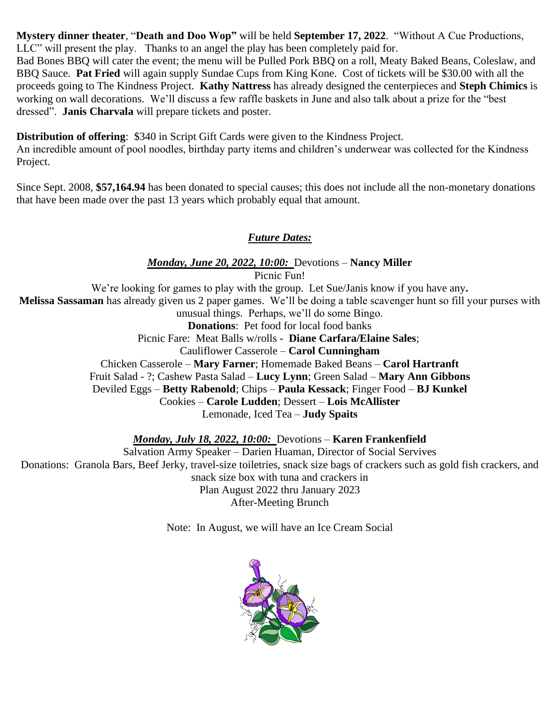**Mystery dinner theater**, "**Death and Doo Wop"** will be held **September 17, 2022**. "Without A Cue Productions, LLC" will present the play. Thanks to an angel the play has been completely paid for.

Bad Bones BBQ will cater the event; the menu will be Pulled Pork BBQ on a roll, Meaty Baked Beans, Coleslaw, and BBQ Sauce. **Pat Fried** will again supply Sundae Cups from King Kone. Cost of tickets will be \$30.00 with all the proceeds going to The Kindness Project. **Kathy Nattress** has already designed the centerpieces and **Steph Chimics** is working on wall decorations. We'll discuss a few raffle baskets in June and also talk about a prize for the "best dressed". **Janis Charvala** will prepare tickets and poster.

**Distribution of offering**: \$340 in Script Gift Cards were given to the Kindness Project.

An incredible amount of pool noodles, birthday party items and children's underwear was collected for the Kindness Project.

Since Sept. 2008, **\$57,164.94** has been donated to special causes; this does not include all the non-monetary donations that have been made over the past 13 years which probably equal that amount.

### *Future Dates:*

*Monday, June 20, 2022, 10:00:* Devotions – **Nancy Miller** Picnic Fun! We're looking for games to play with the group. Let Sue/Janis know if you have any**. Melissa Sassaman** has already given us 2 paper games. We'll be doing a table scavenger hunt so fill your purses with unusual things. Perhaps, we'll do some Bingo. **Donations**: Pet food for local food banks Picnic Fare: Meat Balls w/rolls - **Diane Carfara/Elaine Sales**; Cauliflower Casserole – **Carol Cunningham** Chicken Casserole – **Mary Farner**; Homemade Baked Beans – **Carol Hartranft** Fruit Salad - ?; Cashew Pasta Salad – **Lucy Lynn**; Green Salad – **Mary Ann Gibbons** Deviled Eggs – **Betty Rabenold**; Chips – **Paula Kessack**; Finger Food – **BJ Kunkel** Cookies – **Carole Ludden**; Dessert – **Lois McAllister** Lemonade, Iced Tea – **Judy Spaits**

*Monday, July 18, 2022, 10:00:* Devotions – **Karen Frankenfield**

Salvation Army Speaker – Darien Huaman, Director of Social Servives Donations: Granola Bars, Beef Jerky, travel-size toiletries, snack size bags of crackers such as gold fish crackers, and snack size box with tuna and crackers in Plan August 2022 thru January 2023 After-Meeting Brunch

Note: In August, we will have an Ice Cream Social

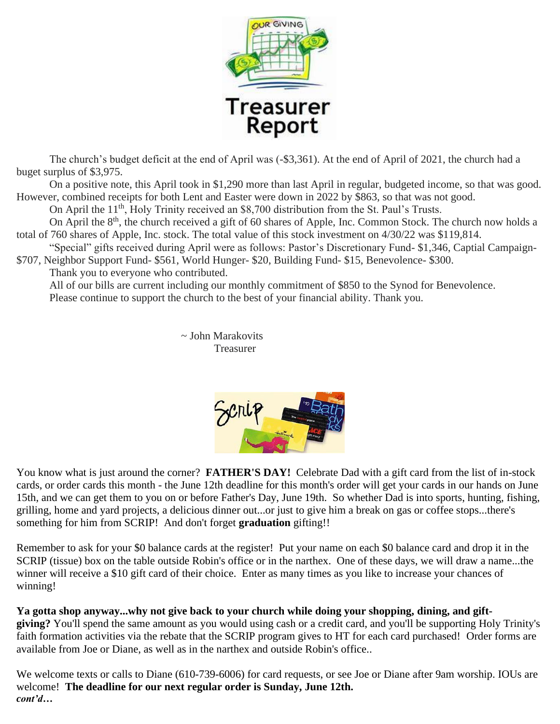

The church's budget deficit at the end of April was (-\$3,361). At the end of April of 2021, the church had a buget surplus of \$3,975.

On a positive note, this April took in \$1,290 more than last April in regular, budgeted income, so that was good. However, combined receipts for both Lent and Easter were down in 2022 by \$863, so that was not good.

On April the 11<sup>th</sup>, Holy Trinity received an \$8,700 distribution from the St. Paul's Trusts.

On April the 8<sup>th</sup>, the church received a gift of 60 shares of Apple, Inc. Common Stock. The church now holds a total of 760 shares of Apple, Inc. stock. The total value of this stock investment on 4/30/22 was \$119,814.

"Special" gifts received during April were as follows: Pastor's Discretionary Fund- \$1,346, Captial Campaign- \$707, Neighbor Support Fund- \$561, World Hunger- \$20, Building Fund- \$15, Benevolence- \$300.

Thank you to everyone who contributed.

All of our bills are current including our monthly commitment of \$850 to the Synod for Benevolence. Please continue to support the church to the best of your financial ability. Thank you.

> ~ John Marakovits Treasurer



You know what is just around the corner? **FATHER'S DAY!** Celebrate Dad with a gift card from the list of in-stock cards, or order cards this month - the June 12th deadline for this month's order will get your cards in our hands on June 15th, and we can get them to you on or before Father's Day, June 19th. So whether Dad is into sports, hunting, fishing, grilling, home and yard projects, a delicious dinner out...or just to give him a break on gas or coffee stops...there's something for him from SCRIP! And don't forget **graduation** gifting!!

Remember to ask for your \$0 balance cards at the register! Put your name on each \$0 balance card and drop it in the SCRIP (tissue) box on the table outside Robin's office or in the narthex. One of these days, we will draw a name...the winner will receive a \$10 gift card of their choice. Enter as many times as you like to increase your chances of winning!

**Ya gotta shop anyway...why not give back to your church while doing your shopping, dining, and giftgiving?** You'll spend the same amount as you would using cash or a credit card, and you'll be supporting Holy Trinity's faith formation activities via the rebate that the SCRIP program gives to HT for each card purchased! Order forms are available from Joe or Diane, as well as in the narthex and outside Robin's office..

We welcome texts or calls to Diane (610-739-6006) for card requests, or see Joe or Diane after 9am worship. IOUs are welcome! **The deadline for our next regular order is Sunday, June 12th.** *cont'd…*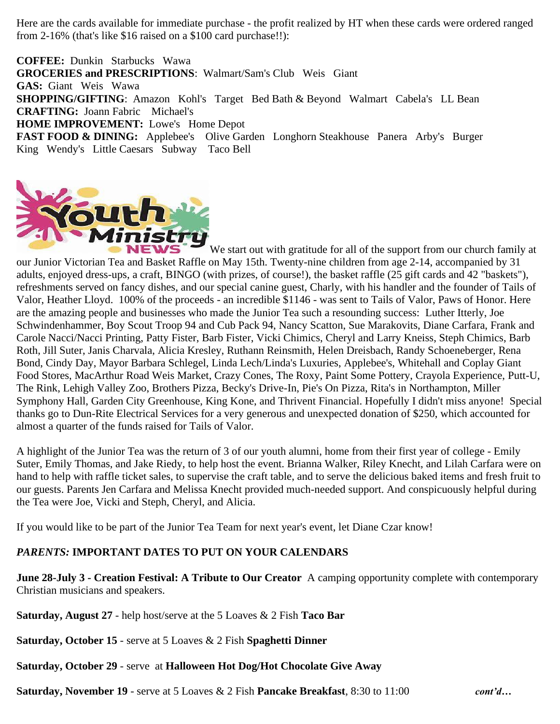Here are the cards available for immediate purchase - the profit realized by HT when these cards were ordered ranged from 2-16% (that's like \$16 raised on a \$100 card purchase!!):

**COFFEE:** Dunkin Starbucks Wawa **GROCERIES and PRESCRIPTIONS**: Walmart/Sam's Club Weis Giant **GAS:** Giant Weis Wawa **SHOPPING/GIFTING**: Amazon Kohl's Target Bed Bath & Beyond Walmart Cabela's LL Bean **CRAFTING:** Joann Fabric Michael's **HOME IMPROVEMENT:** Lowe's Home Depot **FAST FOOD & DINING:** Applebee's Olive Garden Longhorn Steakhouse Panera Arby's Burger King Wendy's Little Caesars Subway Taco Bell



We start out with gratitude for all of the support from our church family at our Junior Victorian Tea and Basket Raffle on May 15th. Twenty-nine children from age 2-14, accompanied by 31 adults, enjoyed dress-ups, a craft, BINGO (with prizes, of course!), the basket raffle (25 gift cards and 42 "baskets"), refreshments served on fancy dishes, and our special canine guest, Charly, with his handler and the founder of Tails of Valor, Heather Lloyd. 100% of the proceeds - an incredible \$1146 - was sent to Tails of Valor, Paws of Honor. Here are the amazing people and businesses who made the Junior Tea such a resounding success: Luther Itterly, Joe Schwindenhammer, Boy Scout Troop 94 and Cub Pack 94, Nancy Scatton, Sue Marakovits, Diane Carfara, Frank and Carole Nacci/Nacci Printing, Patty Fister, Barb Fister, Vicki Chimics, Cheryl and Larry Kneiss, Steph Chimics, Barb Roth, Jill Suter, Janis Charvala, Alicia Kresley, Ruthann Reinsmith, Helen Dreisbach, Randy Schoeneberger, Rena Bond, Cindy Day, Mayor Barbara Schlegel, Linda Lech/Linda's Luxuries, Applebee's, Whitehall and Coplay Giant Food Stores, MacArthur Road Weis Market, Crazy Cones, The Roxy, Paint Some Pottery, Crayola Experience, Putt-U, The Rink, Lehigh Valley Zoo, Brothers Pizza, Becky's Drive-In, Pie's On Pizza, Rita's in Northampton, Miller Symphony Hall, Garden City Greenhouse, King Kone, and Thrivent Financial. Hopefully I didn't miss anyone! Special thanks go to Dun-Rite Electrical Services for a very generous and unexpected donation of \$250, which accounted for almost a quarter of the funds raised for Tails of Valor.

A highlight of the Junior Tea was the return of 3 of our youth alumni, home from their first year of college - Emily Suter, Emily Thomas, and Jake Riedy, to help host the event. Brianna Walker, Riley Knecht, and Lilah Carfara were on hand to help with raffle ticket sales, to supervise the craft table, and to serve the delicious baked items and fresh fruit to our guests. Parents Jen Carfara and Melissa Knecht provided much-needed support. And conspicuously helpful during the Tea were Joe, Vicki and Steph, Cheryl, and Alicia.

If you would like to be part of the Junior Tea Team for next year's event, let Diane Czar know!

### *PARENTS:* **IMPORTANT DATES TO PUT ON YOUR CALENDARS**

**June 28-July 3 - Creation Festival: A Tribute to Our Creator** A camping opportunity complete with contemporary Christian musicians and speakers.

**Saturday, August 27** - help host/serve at the 5 Loaves & 2 Fish **Taco Bar** 

**Saturday, October 15** - serve at 5 Loaves & 2 Fish **Spaghetti Dinner**

**Saturday, October 29** - serve at **Halloween Hot Dog/Hot Chocolate Give Away**

**Saturday, November 19** - serve at 5 Loaves & 2 Fish **Pancake Breakfast**, 8:30 to 11:00 *cont'd…*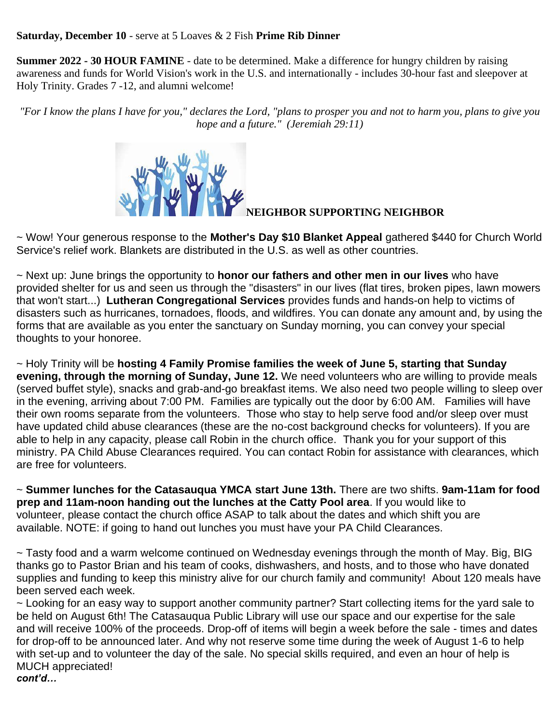### **Saturday, December 10** - serve at 5 Loaves & 2 Fish **Prime Rib Dinner**

**Summer 2022 - 30 HOUR FAMINE** - date to be determined. Make a difference for hungry children by raising awareness and funds for World Vision's work in the U.S. and internationally - includes 30-hour fast and sleepover at Holy Trinity. Grades 7 -12, and alumni welcome!

*"For I know the plans I have for you," declares the Lord, "plans to prosper you and not to harm you, plans to give you hope and a future." (Jeremiah 29:11)*



**NEIGHBOR SUPPORTING NEIGHBOR**

~ Wow! Your generous response to the **Mother's Day \$10 Blanket Appeal** gathered \$440 for Church World Service's relief work. Blankets are distributed in the U.S. as well as other countries.

~ Next up: June brings the opportunity to **honor our fathers and other men in our lives** who have provided shelter for us and seen us through the "disasters" in our lives (flat tires, broken pipes, lawn mowers that won't start...) **Lutheran Congregational Services** provides funds and hands-on help to victims of disasters such as hurricanes, tornadoes, floods, and wildfires. You can donate any amount and, by using the forms that are available as you enter the sanctuary on Sunday morning, you can convey your special thoughts to your honoree.

~ Holy Trinity will be **hosting 4 Family Promise families the week of June 5, starting that Sunday evening, through the morning of Sunday, June 12.** We need volunteers who are willing to provide meals (served buffet style), snacks and grab-and-go breakfast items. We also need two people willing to sleep over in the evening, arriving about 7:00 PM. Families are typically out the door by 6:00 AM. Families will have their own rooms separate from the volunteers. Those who stay to help serve food and/or sleep over must have updated child abuse clearances (these are the no-cost background checks for volunteers). If you are able to help in any capacity, please call Robin in the church office. Thank you for your support of this ministry. PA Child Abuse Clearances required. You can contact Robin for assistance with clearances, which are free for volunteers.

~ **Summer lunches for the Catasauqua YMCA start June 13th.** There are two shifts. **9am-11am for food prep and 11am-noon handing out the lunches at the Catty Pool area**. If you would like to volunteer, please contact the church office ASAP to talk about the dates and which shift you are available. NOTE: if going to hand out lunches you must have your PA Child Clearances.

~ Tasty food and a warm welcome continued on Wednesday evenings through the month of May. Big, BIG thanks go to Pastor Brian and his team of cooks, dishwashers, and hosts, and to those who have donated supplies and funding to keep this ministry alive for our church family and community! About 120 meals have been served each week.

~ Looking for an easy way to support another community partner? Start collecting items for the yard sale to be held on August 6th! The Catasauqua Public Library will use our space and our expertise for the sale and will receive 100% of the proceeds. Drop-off of items will begin a week before the sale - times and dates for drop-off to be announced later. And why not reserve some time during the week of August 1-6 to help with set-up and to volunteer the day of the sale. No special skills required, and even an hour of help is MUCH appreciated! *cont'd…*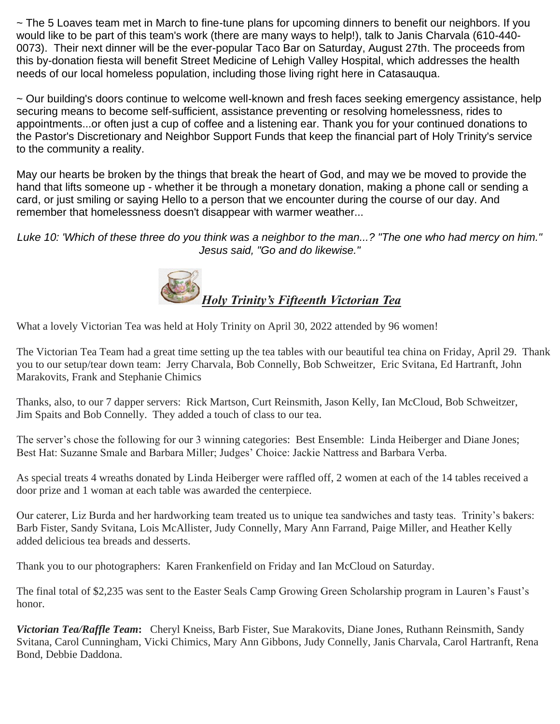~ The 5 Loaves team met in March to fine-tune plans for upcoming dinners to benefit our neighbors. If you would like to be part of this team's work (there are many ways to help!), talk to Janis Charvala (610-440- 0073). Their next dinner will be the ever-popular Taco Bar on Saturday, August 27th. The proceeds from this by-donation fiesta will benefit Street Medicine of Lehigh Valley Hospital, which addresses the health needs of our local homeless population, including those living right here in Catasauqua.

~ Our building's doors continue to welcome well-known and fresh faces seeking emergency assistance, help securing means to become self-sufficient, assistance preventing or resolving homelessness, rides to appointments...or often just a cup of coffee and a listening ear. Thank you for your continued donations to the Pastor's Discretionary and Neighbor Support Funds that keep the financial part of Holy Trinity's service to the community a reality.

May our hearts be broken by the things that break the heart of God, and may we be moved to provide the hand that lifts someone up - whether it be through a monetary donation, making a phone call or sending a card, or just smiling or saying Hello to a person that we encounter during the course of our day. And remember that homelessness doesn't disappear with warmer weather...

*Luke 10: 'Which of these three do you think was a neighbor to the man...? "The one who had mercy on him." Jesus said, "Go and do likewise."*



What a lovely Victorian Tea was held at Holy Trinity on April 30, 2022 attended by 96 women!

The Victorian Tea Team had a great time setting up the tea tables with our beautiful tea china on Friday, April 29. Thank you to our setup/tear down team: Jerry Charvala, Bob Connelly, Bob Schweitzer, Eric Svitana, Ed Hartranft, John Marakovits, Frank and Stephanie Chimics

Thanks, also, to our 7 dapper servers: Rick Martson, Curt Reinsmith, Jason Kelly, Ian McCloud, Bob Schweitzer, Jim Spaits and Bob Connelly. They added a touch of class to our tea.

The server's chose the following for our 3 winning categories: Best Ensemble: Linda Heiberger and Diane Jones; Best Hat: Suzanne Smale and Barbara Miller; Judges' Choice: Jackie Nattress and Barbara Verba.

As special treats 4 wreaths donated by Linda Heiberger were raffled off, 2 women at each of the 14 tables received a door prize and 1 woman at each table was awarded the centerpiece.

Our caterer, Liz Burda and her hardworking team treated us to unique tea sandwiches and tasty teas. Trinity's bakers: Barb Fister, Sandy Svitana, Lois McAllister, Judy Connelly, Mary Ann Farrand, Paige Miller, and Heather Kelly added delicious tea breads and desserts.

Thank you to our photographers: Karen Frankenfield on Friday and Ian McCloud on Saturday.

The final total of \$2,235 was sent to the Easter Seals Camp Growing Green Scholarship program in Lauren's Faust's honor.

*Victorian Tea/Raffle Team***:** Cheryl Kneiss, Barb Fister, Sue Marakovits, Diane Jones, Ruthann Reinsmith, Sandy Svitana, Carol Cunningham, Vicki Chimics, Mary Ann Gibbons, Judy Connelly, Janis Charvala, Carol Hartranft, Rena Bond, Debbie Daddona.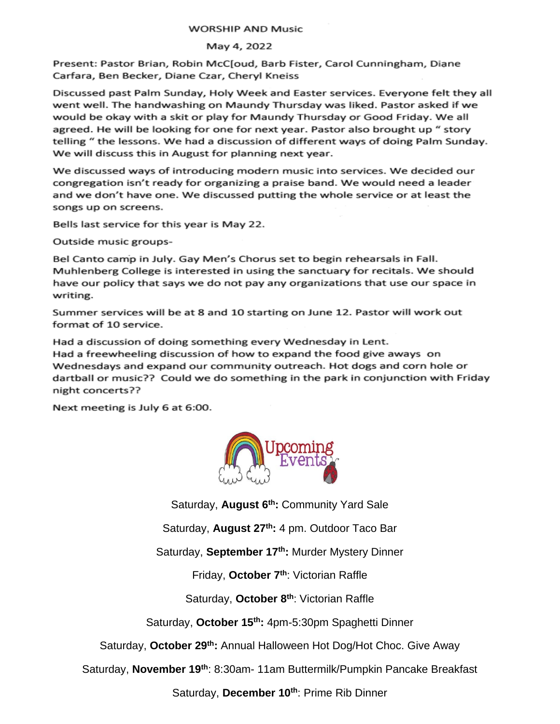### **WORSHIP AND Music**

### May 4, 2022

Present: Pastor Brian, Robin McC[oud, Barb Fister, Carol Cunningham, Diane Carfara, Ben Becker, Diane Czar, Cheryl Kneiss

Discussed past Palm Sunday, Holy Week and Easter services. Everyone felt they all went well. The handwashing on Maundy Thursday was liked. Pastor asked if we would be okay with a skit or play for Maundy Thursday or Good Friday. We all agreed. He will be looking for one for next year. Pastor also brought up " story telling " the lessons. We had a discussion of different ways of doing Palm Sunday. We will discuss this in August for planning next year.

We discussed ways of introducing modern music into services. We decided our congregation isn't ready for organizing a praise band. We would need a leader and we don't have one. We discussed putting the whole service or at least the songs up on screens.

Bells last service for this year is May 22.

Outside music groups-

Bel Canto camp in July. Gay Men's Chorus set to begin rehearsals in Fall. Muhlenberg College is interested in using the sanctuary for recitals. We should have our policy that says we do not pay any organizations that use our space in writing.

Summer services will be at 8 and 10 starting on June 12. Pastor will work out format of 10 service.

Had a discussion of doing something every Wednesday in Lent. Had a freewheeling discussion of how to expand the food give aways on Wednesdays and expand our community outreach. Hot dogs and corn hole or dartball or music?? Could we do something in the park in conjunction with Friday night concerts??

Next meeting is July 6 at 6:00.



Saturday, **August 6th:** Community Yard Sale

Saturday, **August 27th:** 4 pm. Outdoor Taco Bar

Saturday, **September 17th:** Murder Mystery Dinner

Friday, **October 7th**: Victorian Raffle

Saturday, **October 8 th**: Victorian Raffle

Saturday, **October 15th:** 4pm-5:30pm Spaghetti Dinner

Saturday, **October 29th:** Annual Halloween Hot Dog/Hot Choc. Give Away

Saturday, **November 19th**: 8:30am- 11am Buttermilk/Pumpkin Pancake Breakfast

Saturday, **December 10th**: Prime Rib Dinner